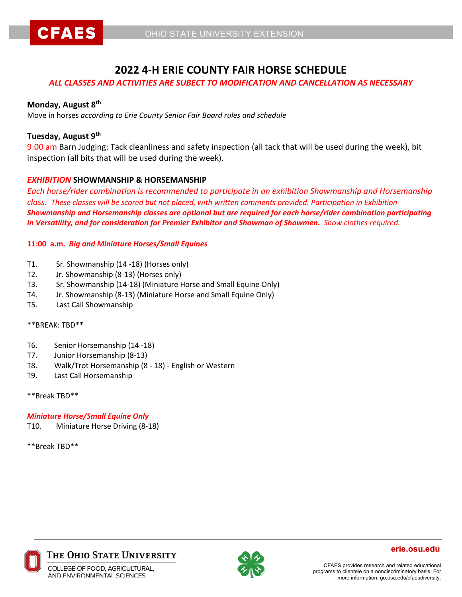



# **2022 4-H ERIE COUNTY FAIR HORSE SCHEDULE**

### *ALL CLASSES AND ACTIVITIES ARE SUBECT TO MODIFICATION AND CANCELLATION AS NECESSARY*

#### **Monday, August 8th**

Move in horses *according to Erie County Senior Fair Board rules and schedule*

### **Tuesday, August 9th**

9:00 am Barn Judging: Tack cleanliness and safety inspection (all tack that will be used during the week), bit inspection (all bits that will be used during the week).

### *EXHIBITION* **SHOWMANSHIP & HORSEMANSHIP**

*Each horse/rider combination is recommended to participate in an exhibition Showmanship and Horsemanship class. These classes will be scored but not placed, with written comments provided. Participation in Exhibition Showmanship and Horsemanship classes are optional but are required for each horse/rider combination participating in Versatility, and for consideration for Premier Exhibitor and Showman of Showmen. Show clothes required.* 

#### **11:00 a.m.** *Big and Miniature Horses/Small Equines*

- T1. Sr. Showmanship (14 -18) (Horses only)
- T2. Jr. Showmanship (8-13) (Horses only)
- T3. Sr. Showmanship (14-18) (Miniature Horse and Small Equine Only)
- T4. Jr. Showmanship (8-13) (Miniature Horse and Small Equine Only)
- T5. Last Call Showmanship

#### \*\*BREAK: TBD\*\*

- T6. Senior Horsemanship (14 -18)
- T7. Junior Horsemanship (8-13)
- T8. Walk/Trot Horsemanship (8 18) English or Western
- T9. Last Call Horsemanship

#### \*\*Break TBD\*\*

#### *Miniature Horse/Small Equine Only*

T10. Miniature Horse Driving (8-18)

\*\*Break TBD\*\*



#### The Ohio State University



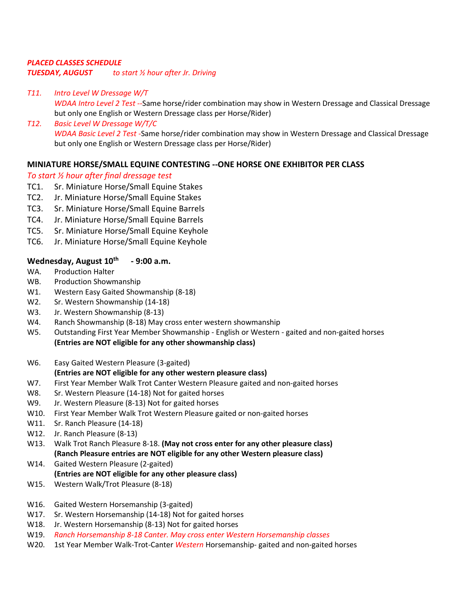# *PLACED CLASSES SCHEDULE TUESDAY, AUGUST to start ½ hour after Jr. Driving*

- *T11. Intro Level W Dressage W/T WDAA Intro Level 2 Test --*Same horse/rider combination may show in Western Dressage and Classical Dressage but only one English or Western Dressage class per Horse/Rider)
- *T12. Basic Level W Dressage W/T/C WDAA Basic Level 2 Test -*Same horse/rider combination may show in Western Dressage and Classical Dressage but only one English or Western Dressage class per Horse/Rider)

# **MINIATURE HORSE/SMALL EQUINE CONTESTING --ONE HORSE ONE EXHIBITOR PER CLASS**

# *To start ½ hour after final dressage test*

- TC1. Sr. Miniature Horse/Small Equine Stakes
- TC2. Jr. Miniature Horse/Small Equine Stakes
- TC3. Sr. Miniature Horse/Small Equine Barrels
- TC4. Jr. Miniature Horse/Small Equine Barrels
- TC5. Sr. Miniature Horse/Small Equine Keyhole
- TC6. Jr. Miniature Horse/Small Equine Keyhole

### Wednesday, August 10<sup>th</sup> - 9:00 a.m.

- WA. Production Halter
- WB. Production Showmanship
- W1. Western Easy Gaited Showmanship (8-18)
- W2. Sr. Western Showmanship (14-18)
- W3. Jr. Western Showmanship (8-13)
- W4. Ranch Showmanship (8-18) May cross enter western showmanship
- W5. Outstanding First Year Member Showmanship English or Western gaited and non-gaited horses **(Entries are NOT eligible for any other showmanship class)**
- W6. Easy Gaited Western Pleasure (3-gaited)

# **(Entries are NOT eligible for any other western pleasure class)**

- W7. First Year Member Walk Trot Canter Western Pleasure gaited and non-gaited horses
- W8. Sr. Western Pleasure (14-18) Not for gaited horses
- W9. Jr. Western Pleasure (8-13) Not for gaited horses
- W10. First Year Member Walk Trot Western Pleasure gaited or non-gaited horses
- W11. Sr. Ranch Pleasure (14-18)
- W12. Jr. Ranch Pleasure (8-13)
- W13. Walk Trot Ranch Pleasure 8-18. **(May not cross enter for any other pleasure class) (Ranch Pleasure entries are NOT eligible for any other Western pleasure class)**
- W14. Gaited Western Pleasure (2-gaited) **(Entries are NOT eligible for any other pleasure class)**
- W15. Western Walk/Trot Pleasure (8-18)
- W16. Gaited Western Horsemanship (3-gaited)
- W17. Sr. Western Horsemanship (14-18) Not for gaited horses
- W18. Jr. Western Horsemanship (8-13) Not for gaited horses
- W19. *Ranch Horsemanship 8-18 Canter. May cross enter Western Horsemanship classes*
- W20. 1st Year Member Walk-Trot-Canter *Western* Horsemanship- gaited and non-gaited horses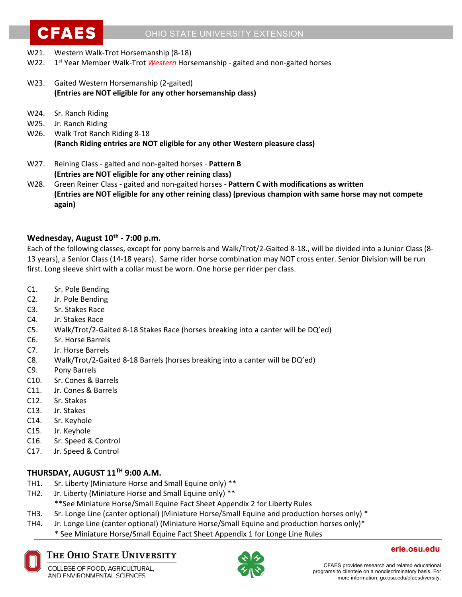

- W21. Western Walk-Trot Horsemanship (8-18)
- W22. 1<sup>st</sup> Year Member Walk-Trot *Western* Horsemanship gaited and non-gaited horses
- W23. Gaited Western Horsemanship (2-gaited) **(Entries are NOT eligible for any other horsemanship class)**
- W24. Sr. Ranch Riding
- W25. Jr. Ranch Riding
- W26. Walk Trot Ranch Riding 8-18 **(Ranch Riding entries are NOT eligible for any other Western pleasure class)**
- W27. Reining Class gaited and non-gaited horses **Pattern B (Entries are NOT eligible for any other reining class)**
- W28. Green Reiner Class gaited and non-gaited horses **Pattern C with modifications as written (Entries are NOT eligible for any other reining class) (previous champion with same horse may not compete again)**

### **Wednesday, August 10th - 7:00 p.m.**

Each of the following classes, except for pony barrels and Walk/Trot/2-Gaited 8-18., will be divided into a Junior Class (8- 13 years), a Senior Class (14-18 years). Same rider horse combination may NOT cross enter. Senior Division will be run first. Long sleeve shirt with a collar must be worn. One horse per rider per class.

- C1. Sr. Pole Bending
- C2. Jr. Pole Bending
- C3. Sr. Stakes Race
- C4. Jr. Stakes Race
- C5. Walk/Trot/2-Gaited 8-18 Stakes Race (horses breaking into a canter will be DQ'ed)
- C6. Sr. Horse Barrels
- C7. Jr. Horse Barrels
- C8. Walk/Trot/2-Gaited 8-18 Barrels (horses breaking into a canter will be DQ'ed)
- C9. Pony Barrels
- C10. Sr. Cones & Barrels
- C11. Jr. Cones & Barrels
- C12. Sr. Stakes
- C13. Jr. Stakes
- C14. Sr. Keyhole
- C15. Jr. Keyhole
- C16. Sr. Speed & Control
- C17. Jr. Speed & Control

# **THURSDAY, AUGUST 11TH 9:00 A.M.**

- TH1. Sr. Liberty (Miniature Horse and Small Equine only) \*\*
- TH2. Jr. Liberty (Miniature Horse and Small Equine only) \*\*
	- \*\*See Miniature Horse/Small Equine Fact Sheet Appendix 2 for Liberty Rules
- TH3. Sr. Longe Line (canter optional) (Miniature Horse/Small Equine and production horses only) \*
- TH4. Jr. Longe Line (canter optional) (Miniature Horse/Small Equine and production horses only)\*
	- \* See Miniature Horse/Small Equine Fact Sheet Appendix 1 for Longe Line Rules



# The Ohio State University

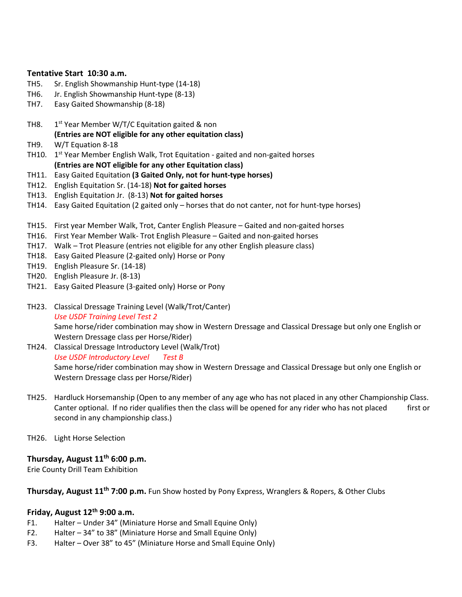#### **Tentative Start 10:30 a.m.**

- TH5. Sr. English Showmanship Hunt-type (14-18)
- TH6. Jr. English Showmanship Hunt-type (8-13)
- TH7. Easy Gaited Showmanship (8-18)
- TH8.  $1^{st}$  Year Member W/T/C Equitation gaited & non **(Entries are NOT eligible for any other equitation class)**
- TH9. W/T Equation 8-18
- TH10.  $1<sup>st</sup>$  Year Member English Walk, Trot Equitation gaited and non-gaited horses **(Entries are NOT eligible for any other Equitation class)**
- TH11. Easy Gaited Equitation **(3 Gaited Only, not for hunt-type horses)**
- TH12. English Equitation Sr. (14-18) **Not for gaited horses**
- TH13. English Equitation Jr. (8-13) **Not for gaited horses**
- TH14. Easy Gaited Equitation (2 gaited only horses that do not canter, not for hunt-type horses)
- TH15. First year Member Walk, Trot, Canter English Pleasure Gaited and non-gaited horses
- TH16. First Year Member Walk- Trot English Pleasure Gaited and non-gaited horses
- TH17. Walk Trot Pleasure (entries not eligible for any other English pleasure class)
- TH18. Easy Gaited Pleasure (2-gaited only) Horse or Pony
- TH19. English Pleasure Sr. (14-18)
- TH20. English Pleasure Jr. (8-13)
- TH21. Easy Gaited Pleasure (3-gaited only) Horse or Pony
- TH23. Classical Dressage Training Level (Walk/Trot/Canter) *Use USDF Training Level Test 2* Same horse/rider combination may show in Western Dressage and Classical Dressage but only one English or Western Dressage class per Horse/Rider)
- TH24. Classical Dressage Introductory Level (Walk/Trot) *Use USDF Introductory Level Test B* Same horse/rider combination may show in Western Dressage and Classical Dressage but only one English or Western Dressage class per Horse/Rider)
- TH25. Hardluck Horsemanship (Open to any member of any age who has not placed in any other Championship Class. Canter optional. If no rider qualifies then the class will be opened for any rider who has not placed first or second in any championship class.)
- TH26. Light Horse Selection

### **Thursday, August 11th 6:00 p.m.**

Erie County Drill Team Exhibition

**Thursday, August 11th 7:00 p.m.** Fun Show hosted by Pony Express, Wranglers & Ropers, & Other Clubs

### **Friday, August 12th 9:00 a.m.**

- F1. Halter Under 34" (Miniature Horse and Small Equine Only)
- F2. Halter 34" to 38" (Miniature Horse and Small Equine Only)
- F3. Halter Over 38" to 45" (Miniature Horse and Small Equine Only)